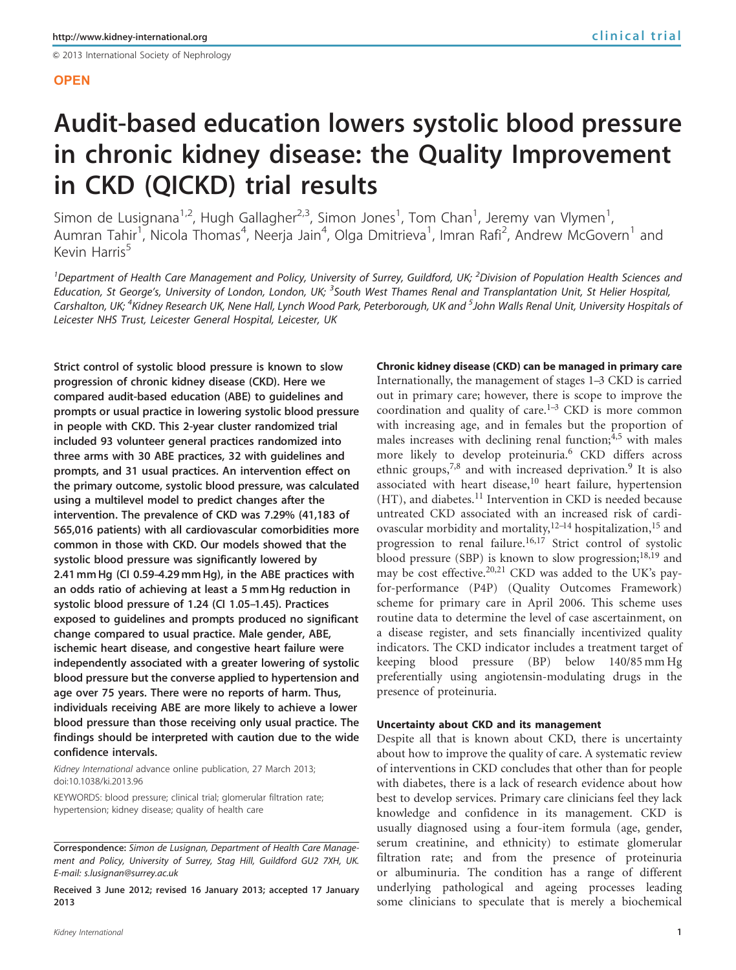$@$  2013 International Society of Nephrology

# **OPEN**

# Audit-based education lowers systolic blood pressure in chronic kidney disease: the Quality Improvement in CKD (QICKD) trial results

Simon de Lusignana<sup>1,2</sup>, Hugh Gallagher<sup>2,3</sup>, Simon Jones<sup>1</sup>, Tom Chan<sup>1</sup>, Jeremy van Vlymen<sup>1</sup> , Aumran Tahir<sup>1</sup>, Nicola Thomas<sup>4</sup>, Neerja Jain<sup>4</sup>, Olga Dmitrieva<sup>1</sup>, Imran Rafi<sup>2</sup>, Andrew McGovern<sup>1</sup> and Kevin Harris<sup>5</sup>

<sup>1</sup>Department of Health Care Management and Policy, University of Surrey, Guildford, UK; <sup>2</sup>Division of Population Health Sciences and Education, St George's, University of London, London, UK; <sup>3</sup>South West Thames Renal and Transplantation Unit, St Helier Hospital, Carshalton, UK; <sup>4</sup>Kidney Research UK, Nene Hall, Lynch Wood Park, Peterborough, UK and <sup>5</sup>John Walls Renal Unit, University Hospitals of Leicester NHS Trust, Leicester General Hospital, Leicester, UK

Strict control of systolic blood pressure is known to slow progression of chronic kidney disease (CKD). Here we compared audit-based education (ABE) to guidelines and prompts or usual practice in lowering systolic blood pressure in people with CKD. This 2-year cluster randomized trial included 93 volunteer general practices randomized into three arms with 30 ABE practices, 32 with guidelines and prompts, and 31 usual practices. An intervention effect on the primary outcome, systolic blood pressure, was calculated using a multilevel model to predict changes after the intervention. The prevalence of CKD was 7.29% (41,183 of 565,016 patients) with all cardiovascular comorbidities more common in those with CKD. Our models showed that the systolic blood pressure was significantly lowered by 2.41 mm Hg (CI 0.59–4.29 mm Hg), in the ABE practices with an odds ratio of achieving at least a 5 mm Hg reduction in systolic blood pressure of 1.24 (CI 1.05–1.45). Practices exposed to guidelines and prompts produced no significant change compared to usual practice. Male gender, ABE, ischemic heart disease, and congestive heart failure were independently associated with a greater lowering of systolic blood pressure but the converse applied to hypertension and age over 75 years. There were no reports of harm. Thus, individuals receiving ABE are more likely to achieve a lower blood pressure than those receiving only usual practice. The findings should be interpreted with caution due to the wide confidence intervals.

Kidney International advance online publication, 27 March 2013; doi[:10.1038/ki.2013.96](http://dx.doi.org/10.1038/ki.2013.96)

KEYWORDS: blood pressure; clinical trial; glomerular filtration rate; hypertension; kidney disease; quality of health care

Correspondence: Simon de Lusignan, Department of Health Care Management and Policy, University of Surrey, Stag Hill, Guildford GU2 7XH, UK. E-mail: [s.lusignan@surrey.ac.uk](mailto:s.lusignan@surrey.ac.uk)

Received 3 June 2012; revised 16 January 2013; accepted 17 January 2013

# Chronic kidney disease (CKD) can be managed in primary care

Internationally, the management of stages 1–3 CKD is carried out in primary care; however, there is scope to improve the coordination and quality of care.<sup>1–3</sup> CKD is more common with increasing age, and in females but the proportion of males increases with declining renal function; $4,5$  with males more likely to develop proteinuria.<sup>[6](#page-10-0)</sup> CKD differs across ethnic groups,<sup>[7,8](#page-10-0)</sup> and with increased deprivation.<sup>[9](#page-10-0)</sup> It is also associated with heart disease,<sup>[10](#page-10-0)</sup> heart failure, hypertension (HT), and diabetes.<sup>11</sup> Intervention in CKD is needed because untreated CKD associated with an increased risk of cardiovascular morbidity and mortality, $12-14$  hospitalization, $15$  and progression to renal failure.<sup>[16,17](#page-10-0)</sup> Strict control of systolic blood pressure (SBP) is known to slow progression;  $18,19$  and may be cost effective.<sup>20,21</sup> CKD was added to the UK's payfor-performance (P4P) (Quality Outcomes Framework) scheme for primary care in April 2006. This scheme uses routine data to determine the level of case ascertainment, on a disease register, and sets financially incentivized quality indicators. The CKD indicator includes a treatment target of keeping blood pressure (BP) below 140/85 mm Hg preferentially using angiotensin-modulating drugs in the presence of proteinuria.

#### Uncertainty about CKD and its management

Despite all that is known about CKD, there is uncertainty about how to improve the quality of care. A systematic review of interventions in CKD concludes that other than for people with diabetes, there is a lack of research evidence about how best to develop services. Primary care clinicians feel they lack knowledge and confidence in its management. CKD is usually diagnosed using a four-item formula (age, gender, serum creatinine, and ethnicity) to estimate glomerular filtration rate; and from the presence of proteinuria or albuminuria. The condition has a range of different underlying pathological and ageing processes leading some clinicians to speculate that is merely a biochemical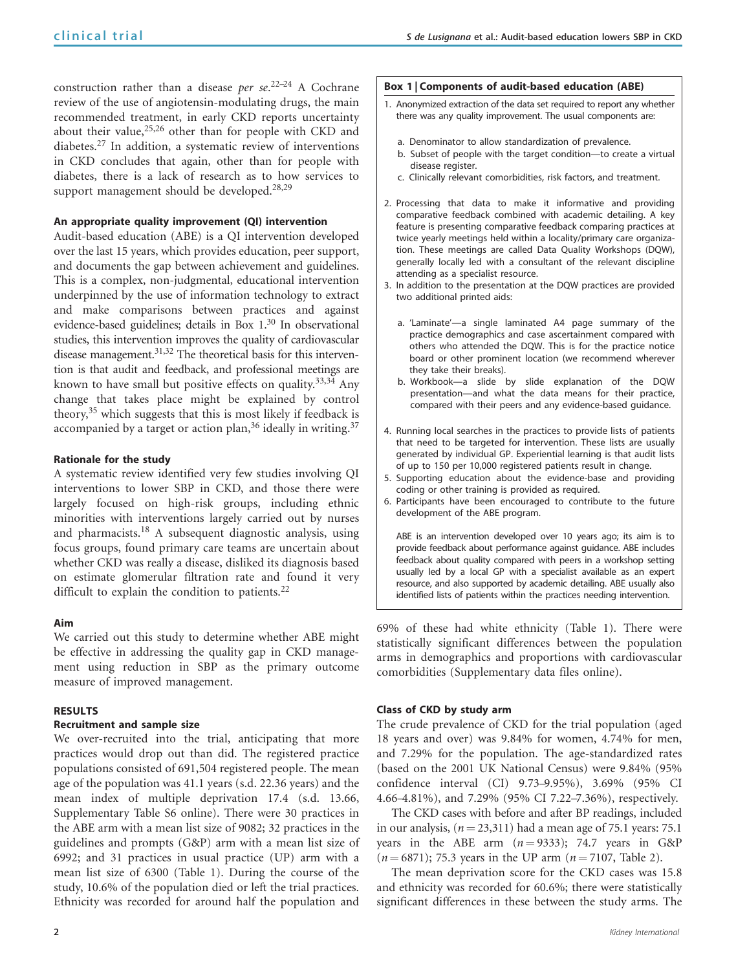construction rather than a disease per  $se^{22-24}$  A Cochrane review of the use of angiotensin-modulating drugs, the main recommended treatment, in early CKD reports uncertainty about their value,  $25,26$  other than for people with CKD and diabetes.[27](#page-10-0) In addition, a systematic review of interventions in CKD concludes that again, other than for people with diabetes, there is a lack of research as to how services to support management should be developed.<sup>[28,29](#page-10-0)</sup>

# An appropriate quality improvement (QI) intervention

Audit-based education (ABE) is a QI intervention developed over the last 15 years, which provides education, peer support, and documents the gap between achievement and guidelines. This is a complex, non-judgmental, educational intervention underpinned by the use of information technology to extract and make comparisons between practices and against evidence-based guidelines; details in Box 1.<sup>30</sup> In observational studies, this intervention improves the quality of cardiovascular disease management.<sup>[31,32](#page-10-0)</sup> The theoretical basis for this intervention is that audit and feedback, and professional meetings are known to have small but positive effects on quality.<sup>[33,34](#page-10-0)</sup> Any change that takes place might be explained by control theory,<sup>[35](#page-10-0)</sup> which suggests that this is most likely if feedback is accompanied by a target or action plan,  $36$  ideally in writing.  $37$ 

# Rationale for the study

A systematic review identified very few studies involving QI interventions to lower SBP in CKD, and those there were largely focused on high-risk groups, including ethnic minorities with interventions largely carried out by nurses and pharmacists.[18](#page-10-0) A subsequent diagnostic analysis, using focus groups, found primary care teams are uncertain about whether CKD was really a disease, disliked its diagnosis based on estimate glomerular filtration rate and found it very difficult to explain the condition to patients.<sup>[22](#page-10-0)</sup>

# Aim

We carried out this study to determine whether ABE might be effective in addressing the quality gap in CKD management using reduction in SBP as the primary outcome measure of improved management.

# RESULTS

# Recruitment and sample size

We over-recruited into the trial, anticipating that more practices would drop out than did. The registered practice populations consisted of 691,504 registered people. The mean age of the population was 41.1 years (s.d. 22.36 years) and the mean index of multiple deprivation 17.4 (s.d. 13.66, Supplementary Table S6 online). There were 30 practices in the ABE arm with a mean list size of 9082; 32 practices in the guidelines and prompts (G&P) arm with a mean list size of 6992; and 31 practices in usual practice (UP) arm with a mean list size of 6300 ([Table 1](#page-2-0)). During the course of the study, 10.6% of the population died or left the trial practices. Ethnicity was recorded for around half the population and

# Box 1 | Components of audit-based education (ABE)

- 1. Anonymized extraction of the data set required to report any whether there was any quality improvement. The usual components are:
	- a. Denominator to allow standardization of prevalence.
	- b. Subset of people with the target condition—to create a virtual disease register.
	- c. Clinically relevant comorbidities, risk factors, and treatment.
- 2. Processing that data to make it informative and providing comparative feedback combined with academic detailing. A key feature is presenting comparative feedback comparing practices at twice yearly meetings held within a locality/primary care organization. These meetings are called Data Quality Workshops (DQW), generally locally led with a consultant of the relevant discipline attending as a specialist resource.
- 3. In addition to the presentation at the DQW practices are provided two additional printed aids:
	- a. 'Laminate'—a single laminated A4 page summary of the practice demographics and case ascertainment compared with others who attended the DQW. This is for the practice notice board or other prominent location (we recommend wherever they take their breaks).
	- b. Workbook—a slide by slide explanation of the DQW presentation—and what the data means for their practice, compared with their peers and any evidence-based guidance.
- 4. Running local searches in the practices to provide lists of patients that need to be targeted for intervention. These lists are usually generated by individual GP. Experiential learning is that audit lists of up to 150 per 10,000 registered patients result in change.
- 5. Supporting education about the evidence-base and providing coding or other training is provided as required.
- 6. Participants have been encouraged to contribute to the future development of the ABE program.

ABE is an intervention developed over 10 years ago; its aim is to provide feedback about performance against guidance. ABE includes feedback about quality compared with peers in a workshop setting usually led by a local GP with a specialist available as an expert resource, and also supported by academic detailing. ABE usually also identified lists of patients within the practices needing intervention.

69% of these had white ethnicity ([Table 1\)](#page-2-0). There were statistically significant differences between the population arms in demographics and proportions with cardiovascular comorbidities (Supplementary data files online).

# Class of CKD by study arm

The crude prevalence of CKD for the trial population (aged 18 years and over) was 9.84% for women, 4.74% for men, and 7.29% for the population. The age-standardized rates (based on the 2001 UK National Census) were 9.84% (95% confidence interval (CI) 9.73–9.95%), 3.69% (95% CI 4.66–4.81%), and 7.29% (95% CI 7.22–7.36%), respectively.

The CKD cases with before and after BP readings, included in our analysis,  $(n = 23,311)$  had a mean age of 75.1 years: 75.1 years in the ABE arm  $(n = 9333)$ ; 74.7 years in G&P  $(n = 6871)$ ; 75.3 years in the UP arm  $(n = 7107,$  [Table 2](#page-3-0)).

The mean deprivation score for the CKD cases was 15.8 and ethnicity was recorded for 60.6%; there were statistically significant differences in these between the study arms. The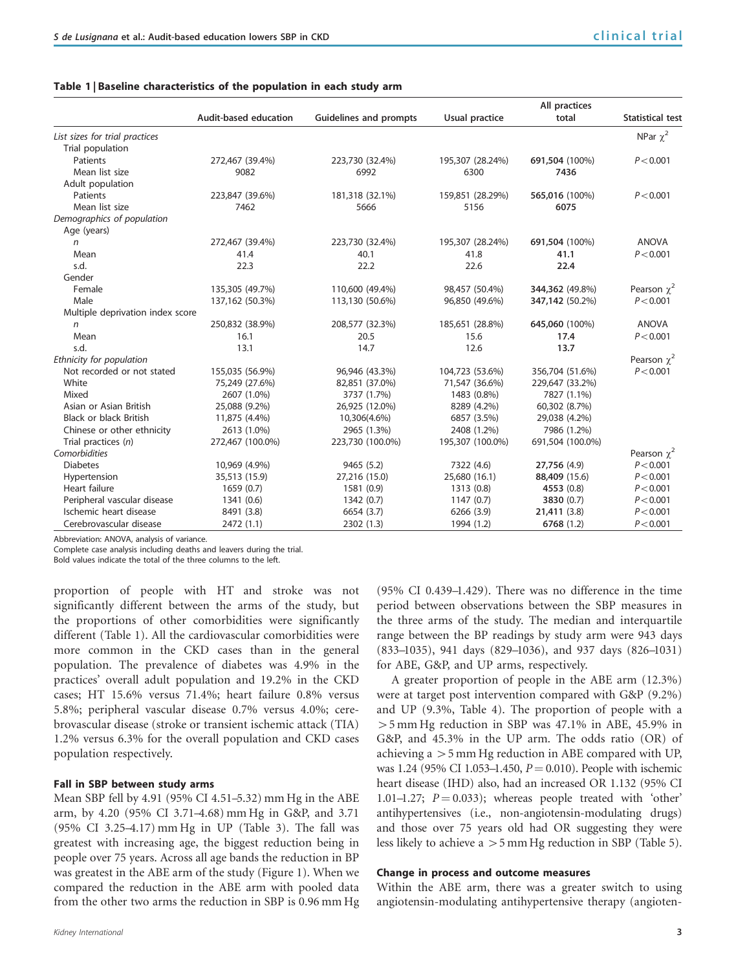|                                  | Audit-based education | Guidelines and prompts | Usual practice   | All practices<br>total | <b>Statistical test</b> |
|----------------------------------|-----------------------|------------------------|------------------|------------------------|-------------------------|
| List sizes for trial practices   |                       |                        |                  |                        | NPar $\chi^2$           |
| Trial population                 |                       |                        |                  |                        |                         |
| Patients                         | 272,467 (39.4%)       | 223,730 (32.4%)        | 195,307 (28.24%) | 691,504 (100%)         | P < 0.001               |
| Mean list size                   | 9082                  | 6992                   | 6300             | 7436                   |                         |
| Adult population                 |                       |                        |                  |                        |                         |
| Patients                         | 223,847 (39.6%)       | 181,318 (32.1%)        | 159,851 (28.29%) | 565,016 (100%)         | P < 0.001               |
| Mean list size                   | 7462                  | 5666                   | 5156             | 6075                   |                         |
| Demographics of population       |                       |                        |                  |                        |                         |
| Age (years)                      |                       |                        |                  |                        |                         |
| n                                | 272,467 (39.4%)       | 223,730 (32.4%)        | 195,307 (28.24%) | 691,504 (100%)         | <b>ANOVA</b>            |
| Mean                             | 41.4                  | 40.1                   | 41.8             | 41.1                   | P < 0.001               |
| s.d.                             | 22.3                  | 22.2                   | 22.6             | 22.4                   |                         |
| Gender                           |                       |                        |                  |                        |                         |
| Female                           | 135,305 (49.7%)       | 110,600 (49.4%)        | 98,457 (50.4%)   | 344,362 (49.8%)        | Pearson $\chi^2$        |
| Male                             | 137,162 (50.3%)       | 113,130 (50.6%)        | 96,850 (49.6%)   | 347,142 (50.2%)        | P < 0.001               |
| Multiple deprivation index score |                       |                        |                  |                        |                         |
| n                                | 250,832 (38.9%)       | 208,577 (32.3%)        | 185,651 (28.8%)  | 645,060 (100%)         | <b>ANOVA</b>            |
| Mean                             | 16.1                  | 20.5                   | 15.6             | 17.4                   | P < 0.001               |
| s.d.                             | 13.1                  | 14.7                   | 12.6             | 13.7                   |                         |
| Ethnicity for population         |                       |                        |                  |                        | Pearson $\chi^2$        |
| Not recorded or not stated       | 155,035 (56.9%)       | 96,946 (43.3%)         | 104,723 (53.6%)  | 356,704 (51.6%)        | P < 0.001               |
| White                            | 75,249 (27.6%)        | 82,851 (37.0%)         | 71,547 (36.6%)   | 229,647 (33.2%)        |                         |
| Mixed                            | 2607 (1.0%)           | 3737 (1.7%)            | 1483 (0.8%)      | 7827 (1.1%)            |                         |
| Asian or Asian British           | 25,088 (9.2%)         | 26,925 (12.0%)         | 8289 (4.2%)      | 60,302 (8.7%)          |                         |
| <b>Black or black British</b>    | 11,875 (4.4%)         | 10,306(4.6%)           | 6857 (3.5%)      | 29,038 (4.2%)          |                         |
| Chinese or other ethnicity       | 2613 (1.0%)           | 2965 (1.3%)            | 2408 (1.2%)      | 7986 (1.2%)            |                         |
| Trial practices (n)              | 272,467 (100.0%)      | 223,730 (100.0%)       | 195,307 (100.0%) | 691,504 (100.0%)       |                         |
| Comorbidities                    |                       |                        |                  |                        | Pearson $\gamma^2$      |
| <b>Diabetes</b>                  | 10,969 (4.9%)         | 9465 (5.2)             | 7322 (4.6)       | 27,756 (4.9)           | P < 0.001               |
| Hypertension                     | 35,513 (15.9)         | 27,216 (15.0)          | 25,680 (16.1)    | 88,409 (15.6)          | P < 0.001               |
| Heart failure                    | 1659(0.7)             | 1581 (0.9)             | 1313 (0.8)       | 4553 (0.8)             | P < 0.001               |
| Peripheral vascular disease      | 1341 (0.6)            | 1342 (0.7)             | 1147(0.7)        | 3830 (0.7)             | P < 0.001               |
| Ischemic heart disease           | 8491 (3.8)            | 6654 (3.7)             | 6266(3.9)        | 21,411 (3.8)           | P < 0.001               |
| Cerebrovascular disease          | 2472 (1.1)            | 2302 (1.3)             | 1994 (1.2)       | 6768 (1.2)             | P < 0.001               |

# <span id="page-2-0"></span>Table 1 | Baseline characteristics of the population in each study arm

Abbreviation: ANOVA, analysis of variance.

Complete case analysis including deaths and leavers during the trial.

Bold values indicate the total of the three columns to the left.

proportion of people with HT and stroke was not significantly different between the arms of the study, but the proportions of other comorbidities were significantly different (Table 1). All the cardiovascular comorbidities were more common in the CKD cases than in the general population. The prevalence of diabetes was 4.9% in the practices' overall adult population and 19.2% in the CKD cases; HT 15.6% versus 71.4%; heart failure 0.8% versus 5.8%; peripheral vascular disease 0.7% versus 4.0%; cerebrovascular disease (stroke or transient ischemic attack (TIA) 1.2% versus 6.3% for the overall population and CKD cases population respectively.

# Fall in SBP between study arms

Mean SBP fell by 4.91 (95% CI 4.51–5.32) mm Hg in the ABE arm, by 4.20 (95% CI 3.71–4.68) mm Hg in G&P, and 3.71 (95% CI 3.25–4.17) mm Hg in UP [\(Table 3](#page-3-0)). The fall was greatest with increasing age, the biggest reduction being in people over 75 years. Across all age bands the reduction in BP was greatest in the ABE arm of the study [\(Figure 1](#page-3-0)). When we compared the reduction in the ABE arm with pooled data from the other two arms the reduction in SBP is 0.96 mm Hg

(95% CI 0.439–1.429). There was no difference in the time period between observations between the SBP measures in the three arms of the study. The median and interquartile range between the BP readings by study arm were 943 days (833–1035), 941 days (829–1036), and 937 days (826–1031) for ABE, G&P, and UP arms, respectively.

A greater proportion of people in the ABE arm (12.3%) were at target post intervention compared with G&P (9.2%) and UP (9.3%, [Table 4\)](#page-4-0). The proportion of people with a  $>$  5 mm Hg reduction in SBP was 47.1% in ABE, 45.9% in G&P, and 45.3% in the UP arm. The odds ratio (OR) of achieving  $a > 5$  mm Hg reduction in ABE compared with UP, was 1.24 (95% CI 1.053–1.450,  $P = 0.010$ ). People with ischemic heart disease (IHD) also, had an increased OR 1.132 (95% CI 1.01–1.27;  $P = 0.033$ ; whereas people treated with 'other' antihypertensives (i.e., non-angiotensin-modulating drugs) and those over 75 years old had OR suggesting they were less likely to achieve  $a > 5$  mm Hg reduction in SBP [\(Table 5](#page-4-0)).

#### Change in process and outcome measures

Within the ABE arm, there was a greater switch to using angiotensin-modulating antihypertensive therapy (angioten-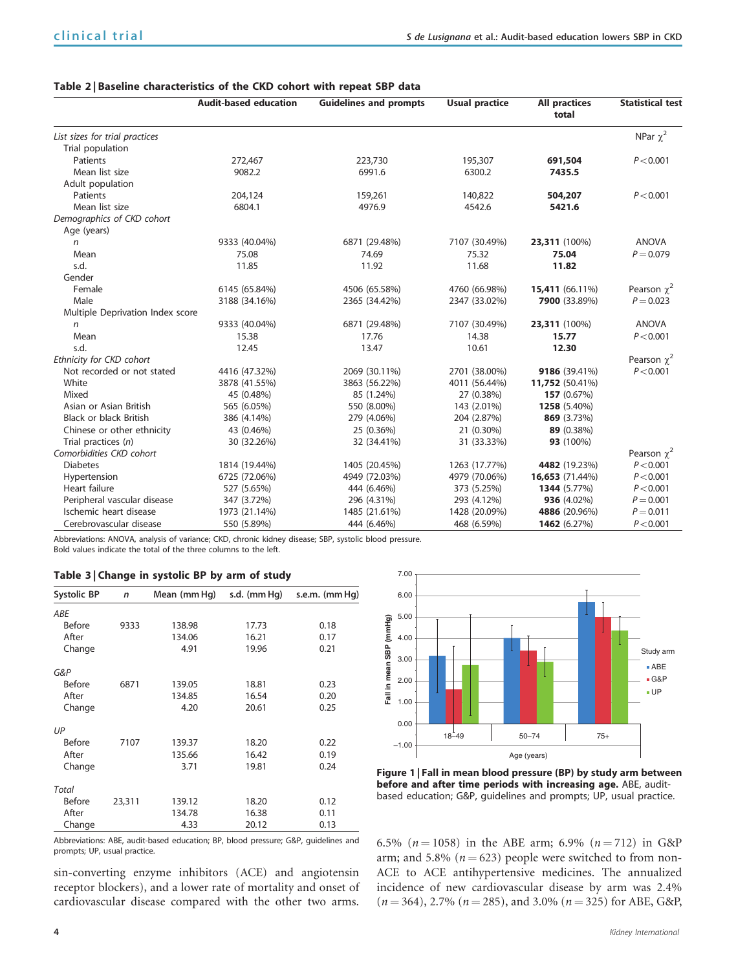# <span id="page-3-0"></span>Table 2 | Baseline characteristics of the CKD cohort with repeat SBP data

|                                  | <b>Audit-based education</b> | <b>Guidelines and prompts</b> | <b>Usual practice</b> | <b>All practices</b><br>total | <b>Statistical test</b> |
|----------------------------------|------------------------------|-------------------------------|-----------------------|-------------------------------|-------------------------|
| List sizes for trial practices   |                              |                               |                       |                               | NPar $\chi^2$           |
| Trial population                 |                              |                               |                       |                               |                         |
| Patients                         | 272,467                      | 223,730                       | 195,307               | 691,504                       | P < 0.001               |
| Mean list size                   | 9082.2                       | 6991.6                        | 6300.2                | 7435.5                        |                         |
| Adult population                 |                              |                               |                       |                               |                         |
| Patients                         | 204,124                      | 159,261                       | 140,822               | 504,207                       | P < 0.001               |
| Mean list size                   | 6804.1                       | 4976.9                        | 4542.6                | 5421.6                        |                         |
| Demographics of CKD cohort       |                              |                               |                       |                               |                         |
| Age (years)                      |                              |                               |                       |                               |                         |
| n                                | 9333 (40.04%)                | 6871 (29.48%)                 | 7107 (30.49%)         | 23,311 (100%)                 | <b>ANOVA</b>            |
| Mean                             | 75.08                        | 74.69                         | 75.32                 | 75.04                         | $P = 0.079$             |
| s.d.                             | 11.85                        | 11.92                         | 11.68                 | 11.82                         |                         |
| Gender                           |                              |                               |                       |                               |                         |
| Female                           | 6145 (65.84%)                | 4506 (65.58%)                 | 4760 (66.98%)         | 15,411 (66.11%)               | Pearson $\gamma^2$      |
| Male                             | 3188 (34.16%)                | 2365 (34.42%)                 | 2347 (33.02%)         | 7900 (33.89%)                 | $P = 0.023$             |
| Multiple Deprivation Index score |                              |                               |                       |                               |                         |
| n                                | 9333 (40.04%)                | 6871 (29.48%)                 | 7107 (30.49%)         | 23,311 (100%)                 | <b>ANOVA</b>            |
| Mean                             | 15.38                        | 17.76                         | 14.38                 | 15.77                         | P < 0.001               |
| s.d.                             | 12.45                        | 13.47                         | 10.61                 | 12.30                         |                         |
| Ethnicity for CKD cohort         |                              |                               |                       |                               | Pearson $\chi^2$        |
| Not recorded or not stated       | 4416 (47.32%)                | 2069 (30.11%)                 | 2701 (38.00%)         | 9186 (39.41%)                 | P < 0.001               |
| White                            | 3878 (41.55%)                | 3863 (56.22%)                 | 4011 (56.44%)         | 11,752 (50.41%)               |                         |
| Mixed                            | 45 (0.48%)                   | 85 (1.24%)                    | 27 (0.38%)            | 157 (0.67%)                   |                         |
| Asian or Asian British           | 565 (6.05%)                  | 550 (8.00%)                   | 143 (2.01%)           | 1258 (5.40%)                  |                         |
| <b>Black or black British</b>    | 386 (4.14%)                  | 279 (4.06%)                   | 204 (2.87%)           | 869 (3.73%)                   |                         |
| Chinese or other ethnicity       | 43 (0.46%)                   | 25 (0.36%)                    | 21 (0.30%)            | 89 (0.38%)                    |                         |
| Trial practices (n)              | 30 (32.26%)                  | 32 (34.41%)                   | 31 (33.33%)           | 93 (100%)                     |                         |
| Comorbidities CKD cohort         |                              |                               |                       |                               | Pearson $\chi^2$        |
| <b>Diabetes</b>                  | 1814 (19.44%)                | 1405 (20.45%)                 | 1263 (17.77%)         | 4482 (19.23%)                 | P < 0.001               |
| Hypertension                     | 6725 (72.06%)                | 4949 (72.03%)                 | 4979 (70.06%)         | 16,653 (71.44%)               | P < 0.001               |
| Heart failure                    | 527 (5.65%)                  | 444 (6.46%)                   | 373 (5.25%)           | 1344 (5.77%)                  | P < 0.001               |
| Peripheral vascular disease      | 347 (3.72%)                  | 296 (4.31%)                   | 293 (4.12%)           | 936 (4.02%)                   | $P = 0.001$             |
| Ischemic heart disease           | 1973 (21.14%)                | 1485 (21.61%)                 | 1428 (20.09%)         | 4886 (20.96%)                 | $P = 0.011$             |
| Cerebrovascular disease          | 550 (5.89%)                  | 444 (6.46%)                   | 468 (6.59%)           | 1462 (6.27%)                  | P < 0.001               |

Abbreviations: ANOVA, analysis of variance; CKD, chronic kidney disease; SBP, systolic blood pressure.

Bold values indicate the total of the three columns to the left.

# Table 3 | Change in systolic BP by arm of study

| <b>Systolic BP</b> | n      | Mean (mm Hg) | s.d. (mm Hg) | s.e.m. (mm Hg) |
|--------------------|--------|--------------|--------------|----------------|
| ABE                |        |              |              |                |
| <b>Before</b>      | 9333   | 138.98       | 17.73        | 0.18           |
| After              |        | 134.06       | 16.21        | 0.17           |
| Change             |        | 4.91         | 19.96        | 0.21           |
| G&P                |        |              |              |                |
| <b>Before</b>      | 6871   | 139.05       | 18.81        | 0.23           |
| After              |        | 134.85       | 16.54        | 0.20           |
| Change             |        | 4.20         | 20.61        | 0.25           |
| UP                 |        |              |              |                |
| <b>Before</b>      | 7107   | 139.37       | 18.20        | 0.22           |
| After              |        | 135.66       | 16.42        | 0.19           |
| Change             |        | 3.71         | 19.81        | 0.24           |
| Total              |        |              |              |                |
| <b>Before</b>      | 23,311 | 139.12       | 18.20        | 0.12           |
| After              |        | 134.78       | 16.38        | 0.11           |
| Change             |        | 4.33         | 20.12        | 0.13           |

Abbreviations: ABE, audit-based education; BP, blood pressure; G&P, guidelines and prompts; UP, usual practice.

sin-converting enzyme inhibitors (ACE) and angiotensin receptor blockers), and a lower rate of mortality and onset of cardiovascular disease compared with the other two arms.



Figure 1 | Fall in mean blood pressure (BP) by study arm between before and after time periods with increasing age. ABE, auditbased education; G&P, guidelines and prompts; UP, usual practice.

6.5% ( $n = 1058$ ) in the ABE arm; 6.9% ( $n = 712$ ) in G&P arm; and 5.8%  $(n = 623)$  people were switched to from non-ACE to ACE antihypertensive medicines. The annualized incidence of new cardiovascular disease by arm was 2.4%  $(n = 364)$ , 2.7%  $(n = 285)$ , and 3.0%  $(n = 325)$  for ABE, G&P,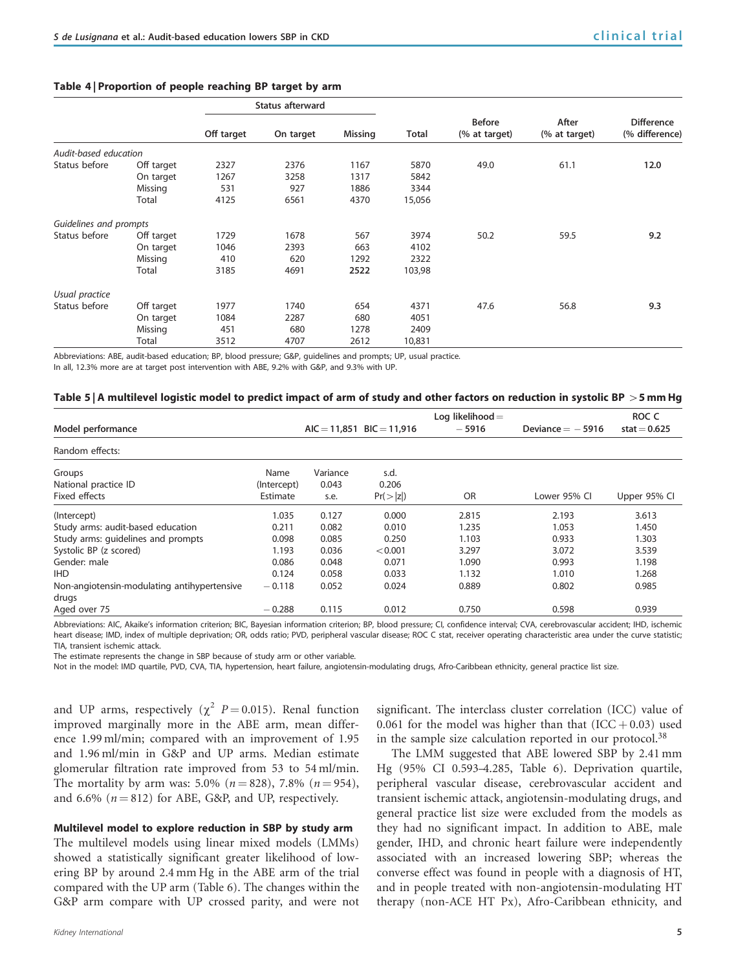<span id="page-4-0"></span>

|  |  |  |  | Table 4   Proportion of people reaching BP target by arm |
|--|--|--|--|----------------------------------------------------------|
|--|--|--|--|----------------------------------------------------------|

|                        |            | <b>Status afterward</b> |           |         |        |                                |                        |                                     |  |
|------------------------|------------|-------------------------|-----------|---------|--------|--------------------------------|------------------------|-------------------------------------|--|
|                        |            | Off target              | On target | Missing | Total  | <b>Before</b><br>(% at target) | After<br>(% at target) | <b>Difference</b><br>(% difference) |  |
| Audit-based education  |            |                         |           |         |        |                                |                        |                                     |  |
| Status before          | Off target | 2327                    | 2376      | 1167    | 5870   | 49.0                           | 61.1                   | 12.0                                |  |
|                        | On target  | 1267                    | 3258      | 1317    | 5842   |                                |                        |                                     |  |
|                        | Missing    | 531                     | 927       | 1886    | 3344   |                                |                        |                                     |  |
|                        | Total      | 4125                    | 6561      | 4370    | 15,056 |                                |                        |                                     |  |
| Guidelines and prompts |            |                         |           |         |        |                                |                        |                                     |  |
| Status before          | Off target | 1729                    | 1678      | 567     | 3974   | 50.2                           | 59.5                   | 9.2                                 |  |
|                        | On target  | 1046                    | 2393      | 663     | 4102   |                                |                        |                                     |  |
|                        | Missing    | 410                     | 620       | 1292    | 2322   |                                |                        |                                     |  |
|                        | Total      | 3185                    | 4691      | 2522    | 103,98 |                                |                        |                                     |  |
| Usual practice         |            |                         |           |         |        |                                |                        |                                     |  |
| Status before          | Off target | 1977                    | 1740      | 654     | 4371   | 47.6                           | 56.8                   | 9.3                                 |  |
|                        | On target  | 1084                    | 2287      | 680     | 4051   |                                |                        |                                     |  |
|                        | Missing    | 451                     | 680       | 1278    | 2409   |                                |                        |                                     |  |
|                        | Total      | 3512                    | 4707      | 2612    | 10,831 |                                |                        |                                     |  |

Abbreviations: ABE, audit-based education; BP, blood pressure; G&P, guidelines and prompts; UP, usual practice.

In all, 12.3% more are at target post intervention with ABE, 9.2% with G&P, and 9.3% with UP.

# Table 5 | A multilevel logistic model to predict impact of arm of study and other factors on reduction in systolic BP  $>$  5 mm Hg

| Model performance                                                                                                                                                                                      |                                                                |                                                             | $AIC = 11,851$ BIC = 11,916                                   | Log likelihood $=$<br>$-5916$                               | Deviance $=$ $-$ 5916                                       | ROC C<br>$stat = 0.625$                                     |
|--------------------------------------------------------------------------------------------------------------------------------------------------------------------------------------------------------|----------------------------------------------------------------|-------------------------------------------------------------|---------------------------------------------------------------|-------------------------------------------------------------|-------------------------------------------------------------|-------------------------------------------------------------|
| Random effects:                                                                                                                                                                                        |                                                                |                                                             |                                                               |                                                             |                                                             |                                                             |
| Groups<br>National practice ID<br>Fixed effects                                                                                                                                                        | Name<br>(Intercept)<br>Estimate                                | Variance<br>0.043<br>s.e.                                   | s.d.<br>0.206<br>Pr(> z )                                     | <b>OR</b>                                                   | Lower 95% Cl                                                | Upper 95% CI                                                |
| (Intercept)<br>Study arms: audit-based education<br>Study arms: quidelines and prompts<br>Systolic BP (z scored)<br>Gender: male<br><b>IHD</b><br>Non-angiotensin-modulating antihypertensive<br>drugs | 1.035<br>0.211<br>0.098<br>1.193<br>0.086<br>0.124<br>$-0.118$ | 0.127<br>0.082<br>0.085<br>0.036<br>0.048<br>0.058<br>0.052 | 0.000<br>0.010<br>0.250<br>< 0.001<br>0.071<br>0.033<br>0.024 | 2.815<br>1.235<br>1.103<br>3.297<br>1.090<br>1.132<br>0.889 | 2.193<br>1.053<br>0.933<br>3.072<br>0.993<br>1.010<br>0.802 | 3.613<br>1.450<br>1.303<br>3.539<br>1.198<br>1.268<br>0.985 |
| Aged over 75                                                                                                                                                                                           | $-0.288$                                                       | 0.115                                                       | 0.012                                                         | 0.750                                                       | 0.598                                                       | 0.939                                                       |

Abbreviations: AIC, Akaike's information criterion; BIC, Bayesian information criterion; BP, blood pressure; CI, confidence interval; CVA, cerebrovascular accident; IHD, ischemic heart disease; IMD, index of multiple deprivation; OR, odds ratio; PVD, peripheral vascular disease; ROC C stat, receiver operating characteristic area under the curve statistic; TIA, transient ischemic attack.

The estimate represents the change in SBP because of study arm or other variable.

Not in the model: IMD quartile, PVD, CVA, TIA, hypertension, heart failure, angiotensin-modulating drugs, Afro-Caribbean ethnicity, general practice list size.

and UP arms, respectively ( $\chi^2$  P = 0.015). Renal function improved marginally more in the ABE arm, mean difference 1.99 ml/min; compared with an improvement of 1.95 and 1.96 ml/min in G&P and UP arms. Median estimate glomerular filtration rate improved from 53 to 54 ml/min. The mortality by arm was: 5.0% ( $n = 828$ ), 7.8% ( $n = 954$ ), and 6.6% ( $n = 812$ ) for ABE, G&P, and UP, respectively.

### Multilevel model to explore reduction in SBP by study arm

The multilevel models using linear mixed models (LMMs) showed a statistically significant greater likelihood of lowering BP by around 2.4 mm Hg in the ABE arm of the trial compared with the UP arm [\(Table 6](#page-5-0)). The changes within the G&P arm compare with UP crossed parity, and were not

significant. The interclass cluster correlation (ICC) value of 0.061 for the model was higher than that  $(ICC + 0.03)$  used in the sample size calculation reported in our protocol.<sup>[38](#page-10-0)</sup>

The LMM suggested that ABE lowered SBP by 2.41 mm Hg (95% CI 0.593–4.285, [Table 6](#page-5-0)). Deprivation quartile, peripheral vascular disease, cerebrovascular accident and transient ischemic attack, angiotensin-modulating drugs, and general practice list size were excluded from the models as they had no significant impact. In addition to ABE, male gender, IHD, and chronic heart failure were independently associated with an increased lowering SBP; whereas the converse effect was found in people with a diagnosis of HT, and in people treated with non-angiotensin-modulating HT therapy (non-ACE HT Px), Afro-Caribbean ethnicity, and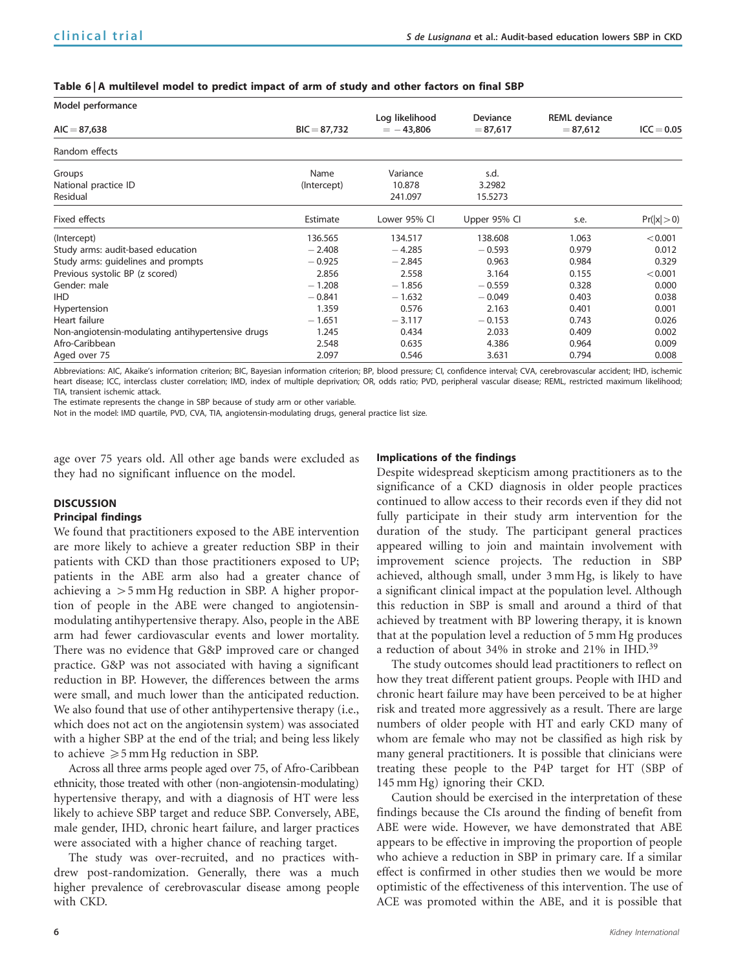<span id="page-5-0"></span>

| Table 6 A multilevel model to predict impact of arm of study and other factors on final SBP |  |  |  |
|---------------------------------------------------------------------------------------------|--|--|--|
|---------------------------------------------------------------------------------------------|--|--|--|

| Model performance                                 |                |                              |                               |                                    |              |  |  |  |
|---------------------------------------------------|----------------|------------------------------|-------------------------------|------------------------------------|--------------|--|--|--|
| $AIC = 87,638$                                    | $BIC = 87,732$ | Log likelihood<br>$=-43,806$ | <b>Deviance</b><br>$= 87,617$ | <b>REML</b> deviance<br>$= 87,612$ | $ICC = 0.05$ |  |  |  |
| Random effects                                    |                |                              |                               |                                    |              |  |  |  |
| Groups                                            | Name           | Variance<br>10.878           | s.d.<br>3.2982                |                                    |              |  |  |  |
| National practice ID<br>Residual                  | (Intercept)    | 241.097                      | 15.5273                       |                                    |              |  |  |  |
| Fixed effects                                     | Estimate       | Lower 95% CI                 | Upper 95% CI                  | s.e.                               | Pr( x  > 0)  |  |  |  |
| (Intercept)                                       | 136.565        | 134.517                      | 138.608                       | 1.063                              | < 0.001      |  |  |  |
| Study arms: audit-based education                 | $-2.408$       | $-4.285$                     | $-0.593$                      | 0.979                              | 0.012        |  |  |  |
| Study arms: guidelines and prompts                | $-0.925$       | $-2.845$                     | 0.963                         | 0.984                              | 0.329        |  |  |  |
| Previous systolic BP (z scored)                   | 2.856          | 2.558                        | 3.164                         | 0.155                              | < 0.001      |  |  |  |
| Gender: male                                      | $-1.208$       | $-1.856$                     | $-0.559$                      | 0.328                              | 0.000        |  |  |  |
| <b>IHD</b>                                        | $-0.841$       | $-1.632$                     | $-0.049$                      | 0.403                              | 0.038        |  |  |  |
| Hypertension                                      | 1.359          | 0.576                        | 2.163                         | 0.401                              | 0.001        |  |  |  |
| Heart failure                                     | $-1.651$       | $-3.117$                     | $-0.153$                      | 0.743                              | 0.026        |  |  |  |
| Non-angiotensin-modulating antihypertensive drugs | 1.245          | 0.434                        | 2.033                         | 0.409                              | 0.002        |  |  |  |
| Afro-Caribbean                                    | 2.548          | 0.635                        | 4.386                         | 0.964                              | 0.009        |  |  |  |
| Aged over 75                                      | 2.097          | 0.546                        | 3.631                         | 0.794                              | 0.008        |  |  |  |

Abbreviations: AIC, Akaike's information criterion; BIC, Bayesian information criterion; BP, blood pressure; CI, confidence interval; CVA, cerebrovascular accident; IHD, ischemic heart disease; ICC, interclass cluster correlation; IMD, index of multiple deprivation; OR, odds ratio; PVD, peripheral vascular disease; REML, restricted maximum likelihood; TIA, transient ischemic attack.

The estimate represents the change in SBP because of study arm or other variable.

Not in the model: IMD quartile, PVD, CVA, TIA, angiotensin-modulating drugs, general practice list size.

age over 75 years old. All other age bands were excluded as they had no significant influence on the model.

# **DISCUSSION**

# Principal findings

We found that practitioners exposed to the ABE intervention are more likely to achieve a greater reduction SBP in their patients with CKD than those practitioners exposed to UP; patients in the ABE arm also had a greater chance of achieving  $a > 5$  mm Hg reduction in SBP. A higher proportion of people in the ABE were changed to angiotensinmodulating antihypertensive therapy. Also, people in the ABE arm had fewer cardiovascular events and lower mortality. There was no evidence that G&P improved care or changed practice. G&P was not associated with having a significant reduction in BP. However, the differences between the arms were small, and much lower than the anticipated reduction. We also found that use of other antihypertensive therapy (i.e., which does not act on the angiotensin system) was associated with a higher SBP at the end of the trial; and being less likely to achieve  $\geq 5$  mm Hg reduction in SBP.

Across all three arms people aged over 75, of Afro-Caribbean ethnicity, those treated with other (non-angiotensin-modulating) hypertensive therapy, and with a diagnosis of HT were less likely to achieve SBP target and reduce SBP. Conversely, ABE, male gender, IHD, chronic heart failure, and larger practices were associated with a higher chance of reaching target.

The study was over-recruited, and no practices withdrew post-randomization. Generally, there was a much higher prevalence of cerebrovascular disease among people with CKD.

#### Implications of the findings

Despite widespread skepticism among practitioners as to the significance of a CKD diagnosis in older people practices continued to allow access to their records even if they did not fully participate in their study arm intervention for the duration of the study. The participant general practices appeared willing to join and maintain involvement with improvement science projects. The reduction in SBP achieved, although small, under 3 mm Hg, is likely to have a significant clinical impact at the population level. Although this reduction in SBP is small and around a third of that achieved by treatment with BP lowering therapy, it is known that at the population level a reduction of 5 mm Hg produces a reduction of about 34% in stroke and 21% in IHD.[39](#page-10-0)

The study outcomes should lead practitioners to reflect on how they treat different patient groups. People with IHD and chronic heart failure may have been perceived to be at higher risk and treated more aggressively as a result. There are large numbers of older people with HT and early CKD many of whom are female who may not be classified as high risk by many general practitioners. It is possible that clinicians were treating these people to the P4P target for HT (SBP of 145 mm Hg) ignoring their CKD.

Caution should be exercised in the interpretation of these findings because the CIs around the finding of benefit from ABE were wide. However, we have demonstrated that ABE appears to be effective in improving the proportion of people who achieve a reduction in SBP in primary care. If a similar effect is confirmed in other studies then we would be more optimistic of the effectiveness of this intervention. The use of ACE was promoted within the ABE, and it is possible that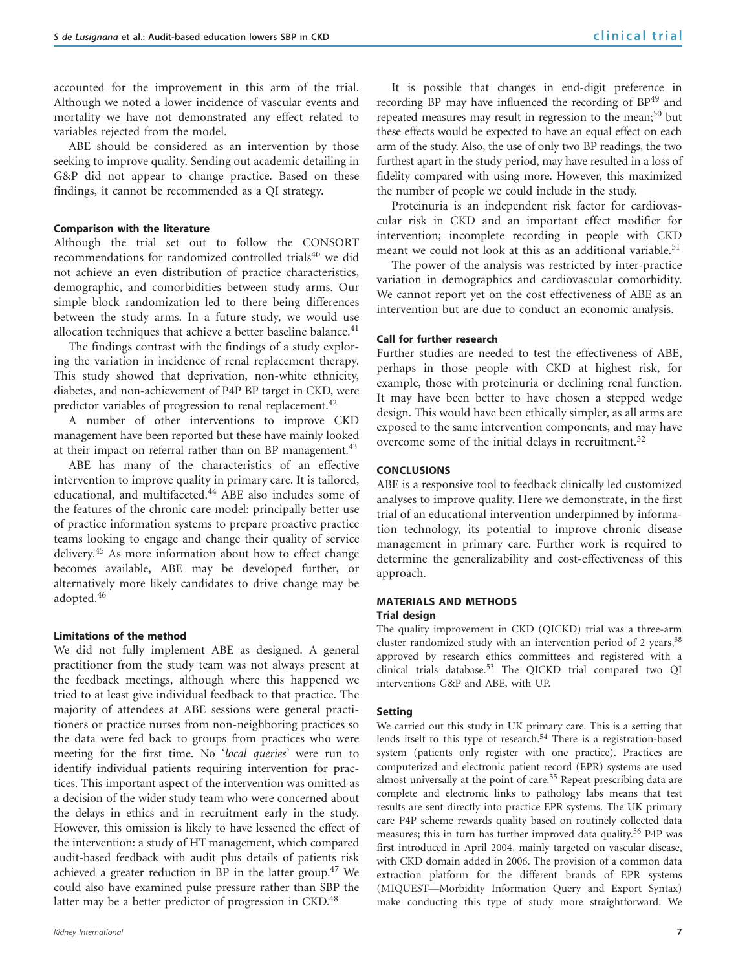accounted for the improvement in this arm of the trial. Although we noted a lower incidence of vascular events and mortality we have not demonstrated any effect related to variables rejected from the model.

ABE should be considered as an intervention by those seeking to improve quality. Sending out academic detailing in G&P did not appear to change practice. Based on these findings, it cannot be recommended as a QI strategy.

# Comparison with the literature

Although the trial set out to follow the CONSORT recommendations for randomized controlled trials<sup>[40](#page-10-0)</sup> we did not achieve an even distribution of practice characteristics, demographic, and comorbidities between study arms. Our simple block randomization led to there being differences between the study arms. In a future study, we would use allocation techniques that achieve a better baseline balance. $41$ 

The findings contrast with the findings of a study exploring the variation in incidence of renal replacement therapy. This study showed that deprivation, non-white ethnicity, diabetes, and non-achievement of P4P BP target in CKD, were predictor variables of progression to renal replacement.<sup>42</sup>

A number of other interventions to improve CKD management have been reported but these have mainly looked at their impact on referral rather than on BP management. $43$ 

ABE has many of the characteristics of an effective intervention to improve quality in primary care. It is tailored, educational, and multifaceted.<sup>[44](#page-10-0)</sup> ABE also includes some of the features of the chronic care model: principally better use of practice information systems to prepare proactive practice teams looking to engage and change their quality of service delivery.[45](#page-10-0) As more information about how to effect change becomes available, ABE may be developed further, or alternatively more likely candidates to drive change may be adopted.<sup>[46](#page-10-0)</sup>

# Limitations of the method

We did not fully implement ABE as designed. A general practitioner from the study team was not always present at the feedback meetings, although where this happened we tried to at least give individual feedback to that practice. The majority of attendees at ABE sessions were general practitioners or practice nurses from non-neighboring practices so the data were fed back to groups from practices who were meeting for the first time. No 'local queries' were run to identify individual patients requiring intervention for practices. This important aspect of the intervention was omitted as a decision of the wider study team who were concerned about the delays in ethics and in recruitment early in the study. However, this omission is likely to have lessened the effect of the intervention: a study of HT management, which compared audit-based feedback with audit plus details of patients risk achieved a greater reduction in BP in the latter group.<sup>47</sup> We could also have examined pulse pressure rather than SBP the latter may be a better predictor of progression in CKD.<sup>[48](#page-10-0)</sup>

It is possible that changes in end-digit preference in recording BP may have influenced the recording of BP<sup>49</sup> and repeated measures may result in regression to the mean;<sup>50</sup> but these effects would be expected to have an equal effect on each arm of the study. Also, the use of only two BP readings, the two furthest apart in the study period, may have resulted in a loss of fidelity compared with using more. However, this maximized the number of people we could include in the study.

Proteinuria is an independent risk factor for cardiovascular risk in CKD and an important effect modifier for intervention; incomplete recording in people with CKD meant we could not look at this as an additional variable.<sup>[51](#page-10-0)</sup>

The power of the analysis was restricted by inter-practice variation in demographics and cardiovascular comorbidity. We cannot report yet on the cost effectiveness of ABE as an intervention but are due to conduct an economic analysis.

#### Call for further research

Further studies are needed to test the effectiveness of ABE, perhaps in those people with CKD at highest risk, for example, those with proteinuria or declining renal function. It may have been better to have chosen a stepped wedge design. This would have been ethically simpler, as all arms are exposed to the same intervention components, and may have overcome some of the initial delays in recruitment.<sup>[52](#page-10-0)</sup>

# **CONCLUSIONS**

ABE is a responsive tool to feedback clinically led customized analyses to improve quality. Here we demonstrate, in the first trial of an educational intervention underpinned by information technology, its potential to improve chronic disease management in primary care. Further work is required to determine the generalizability and cost-effectiveness of this approach.

# MATERIALS AND METHODS Trial design

The quality improvement in CKD (QICKD) trial was a three-arm cluster randomized study with an intervention period of 2 years,  $38$ approved by research ethics committees and registered with a clinical trials database.<sup>[53](#page-11-0)</sup> The QICKD trial compared two QI interventions G&P and ABE, with UP.

# **Setting**

We carried out this study in UK primary care. This is a setting that lends itself to this type of research.<sup>54</sup> There is a registration-based system (patients only register with one practice). Practices are computerized and electronic patient record (EPR) systems are used almost universally at the point of care.<sup>55</sup> Repeat prescribing data are complete and electronic links to pathology labs means that test results are sent directly into practice EPR systems. The UK primary care P4P scheme rewards quality based on routinely collected data measures; this in turn has further improved data quality.<sup>56</sup> P4P was first introduced in April 2004, mainly targeted on vascular disease, with CKD domain added in 2006. The provision of a common data extraction platform for the different brands of EPR systems (MIQUEST—Morbidity Information Query and Export Syntax) make conducting this type of study more straightforward. We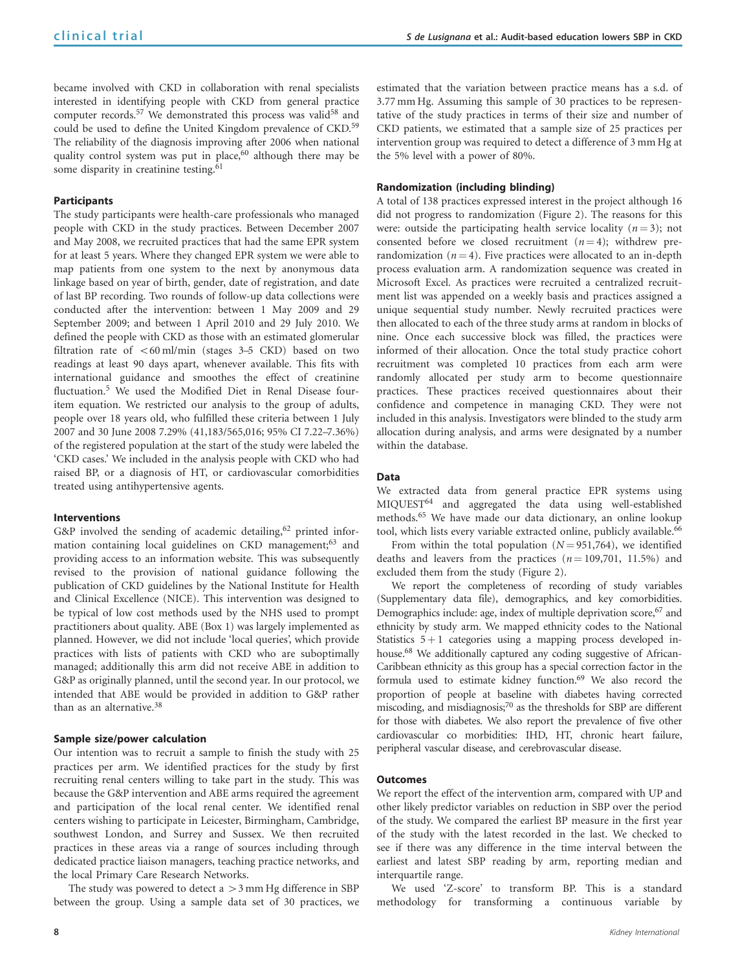became involved with CKD in collaboration with renal specialists interested in identifying people with CKD from general practice computer records.<sup>[57](#page-11-0)</sup> We demonstrated this process was valid<sup>[58](#page-11-0)</sup> and could be used to define the United Kingdom prevalence of CKD.<sup>59</sup> The reliability of the diagnosis improving after 2006 when national quality control system was put in place,<sup>60</sup> although there may be some disparity in creatinine testing.<sup>[61](#page-11-0)</sup>

#### **Participants**

The study participants were health-care professionals who managed people with CKD in the study practices. Between December 2007 and May 2008, we recruited practices that had the same EPR system for at least 5 years. Where they changed EPR system we were able to map patients from one system to the next by anonymous data linkage based on year of birth, gender, date of registration, and date of last BP recording. Two rounds of follow-up data collections were conducted after the intervention: between 1 May 2009 and 29 September 2009; and between 1 April 2010 and 29 July 2010. We defined the people with CKD as those with an estimated glomerular filtration rate of  $<$  60 ml/min (stages 3–5 CKD) based on two readings at least 90 days apart, whenever available. This fits with international guidance and smoothes the effect of creatinine fluctuation.<sup>[5](#page-9-0)</sup> We used the Modified Diet in Renal Disease fouritem equation. We restricted our analysis to the group of adults, people over 18 years old, who fulfilled these criteria between 1 July 2007 and 30 June 2008 7.29% (41,183/565,016; 95% CI 7.22–7.36%) of the registered population at the start of the study were labeled the 'CKD cases.' We included in the analysis people with CKD who had raised BP, or a diagnosis of HT, or cardiovascular comorbidities treated using antihypertensive agents.

#### Interventions

G&P involved the sending of academic detailing, $62$  printed infor-mation containing local guidelines on CKD management;<sup>[63](#page-11-0)</sup> and providing access to an information website. This was subsequently revised to the provision of national guidance following the publication of CKD guidelines by the National Institute for Health and Clinical Excellence (NICE). This intervention was designed to be typical of low cost methods used by the NHS used to prompt practitioners about quality. ABE (Box 1) was largely implemented as planned. However, we did not include 'local queries', which provide practices with lists of patients with CKD who are suboptimally managed; additionally this arm did not receive ABE in addition to G&P as originally planned, until the second year. In our protocol, we intended that ABE would be provided in addition to G&P rather than as an alternative.<sup>[38](#page-10-0)</sup>

#### Sample size/power calculation

Our intention was to recruit a sample to finish the study with 25 practices per arm. We identified practices for the study by first recruiting renal centers willing to take part in the study. This was because the G&P intervention and ABE arms required the agreement and participation of the local renal center. We identified renal centers wishing to participate in Leicester, Birmingham, Cambridge, southwest London, and Surrey and Sussex. We then recruited practices in these areas via a range of sources including through dedicated practice liaison managers, teaching practice networks, and the local Primary Care Research Networks.

The study was powered to detect  $a > 3$  mm Hg difference in SBP between the group. Using a sample data set of 30 practices, we estimated that the variation between practice means has a s.d. of 3.77 mm Hg. Assuming this sample of 30 practices to be representative of the study practices in terms of their size and number of CKD patients, we estimated that a sample size of 25 practices per intervention group was required to detect a difference of 3 mm Hg at the 5% level with a power of 80%.

#### Randomization (including blinding)

A total of 138 practices expressed interest in the project although 16 did not progress to randomization [\(Figure 2](#page-8-0)). The reasons for this were: outside the participating health service locality  $(n=3)$ ; not consented before we closed recruitment  $(n=4)$ ; withdrew prerandomization  $(n = 4)$ . Five practices were allocated to an in-depth process evaluation arm. A randomization sequence was created in Microsoft Excel. As practices were recruited a centralized recruitment list was appended on a weekly basis and practices assigned a unique sequential study number. Newly recruited practices were then allocated to each of the three study arms at random in blocks of nine. Once each successive block was filled, the practices were informed of their allocation. Once the total study practice cohort recruitment was completed 10 practices from each arm were randomly allocated per study arm to become questionnaire practices. These practices received questionnaires about their confidence and competence in managing CKD. They were not included in this analysis. Investigators were blinded to the study arm allocation during analysis, and arms were designated by a number within the database.

#### Data

We extracted data from general practice EPR systems using MIQUEST[64](#page-11-0) and aggregated the data using well-established methods.[65](#page-11-0) We have made our data dictionary, an online lookup tool, which lists every variable extracted online, publicly available.<sup>66</sup>

From within the total population  $(N = 951,764)$ , we identified deaths and leavers from the practices  $(n = 109,701, 11.5%)$  and excluded them from the study ([Figure 2\)](#page-8-0).

We report the completeness of recording of study variables (Supplementary data file), demographics, and key comorbidities. Demographics include: age, index of multiple deprivation score,<sup>[67](#page-11-0)</sup> and ethnicity by study arm. We mapped ethnicity codes to the National Statistics  $5+1$  categories using a mapping process developed in-house.<sup>[68](#page-11-0)</sup> We additionally captured any coding suggestive of African-Caribbean ethnicity as this group has a special correction factor in the formula used to estimate kidney function.<sup>69</sup> We also record the proportion of people at baseline with diabetes having corrected miscoding, and misdiagnosis; $^{70}$  $^{70}$  $^{70}$  as the thresholds for SBP are different for those with diabetes. We also report the prevalence of five other cardiovascular co morbidities: IHD, HT, chronic heart failure, peripheral vascular disease, and cerebrovascular disease.

### **Outcomes**

We report the effect of the intervention arm, compared with UP and other likely predictor variables on reduction in SBP over the period of the study. We compared the earliest BP measure in the first year of the study with the latest recorded in the last. We checked to see if there was any difference in the time interval between the earliest and latest SBP reading by arm, reporting median and interquartile range.

We used 'Z-score' to transform BP. This is a standard methodology for transforming a continuous variable by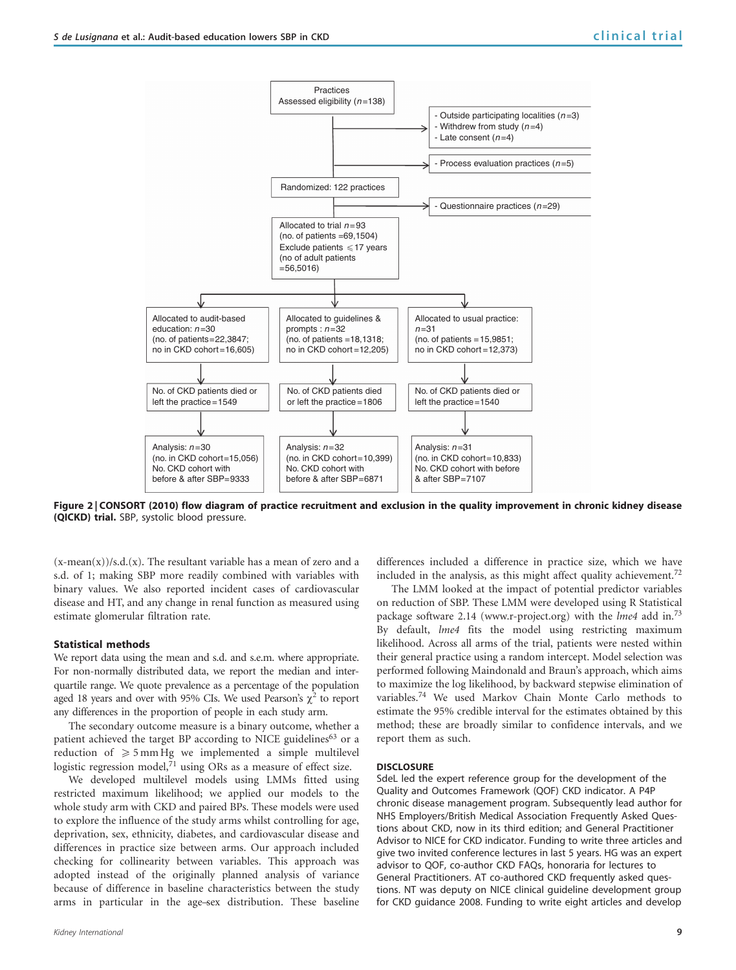<span id="page-8-0"></span>

Figure 2 | CONSORT (2010) flow diagram of practice recruitment and exclusion in the quality improvement in chronic kidney disease (QICKD) trial. SBP, systolic blood pressure.

 $(x-mean(x))/s.d.(x)$ . The resultant variable has a mean of zero and a s.d. of 1; making SBP more readily combined with variables with binary values. We also reported incident cases of cardiovascular disease and HT, and any change in renal function as measured using estimate glomerular filtration rate.

#### Statistical methods

We report data using the mean and s.d. and s.e.m. where appropriate. For non-normally distributed data, we report the median and interquartile range. We quote prevalence as a percentage of the population aged 18 years and over with 95% CIs. We used Pearson's  $\chi^2$  to report any differences in the proportion of people in each study arm.

The secondary outcome measure is a binary outcome, whether a patient achieved the target BP according to NICE guidelines<sup>[63](#page-11-0)</sup> or a reduction of  $\geq 5$  mm Hg we implemented a simple multilevel logistic regression model,<sup>[71](#page-11-0)</sup> using ORs as a measure of effect size.

We developed multilevel models using LMMs fitted using restricted maximum likelihood; we applied our models to the whole study arm with CKD and paired BPs. These models were used to explore the influence of the study arms whilst controlling for age, deprivation, sex, ethnicity, diabetes, and cardiovascular disease and differences in practice size between arms. Our approach included checking for collinearity between variables. This approach was adopted instead of the originally planned analysis of variance because of difference in baseline characteristics between the study arms in particular in the age–sex distribution. These baseline

differences included a difference in practice size, which we have included in the analysis, as this might affect quality achievement.<sup>72</sup>

The LMM looked at the impact of potential predictor variables on reduction of SBP. These LMM were developed using R Statistical package software 2.14 [\(www.r-project.org\)](www.r-project.org) with the *lme4* add in.<sup>73</sup> By default, *lme4* fits the model using restricting maximum likelihood. Across all arms of the trial, patients were nested within their general practice using a random intercept. Model selection was performed following Maindonald and Braun's approach, which aims to maximize the log likelihood, by backward stepwise elimination of variables.[74](#page-11-0) We used Markov Chain Monte Carlo methods to estimate the 95% credible interval for the estimates obtained by this method; these are broadly similar to confidence intervals, and we report them as such.

# **DISCLOSURE**

SdeL led the expert reference group for the development of the Quality and Outcomes Framework (QOF) CKD indicator. A P4P chronic disease management program. Subsequently lead author for NHS Employers/British Medical Association Frequently Asked Questions about CKD, now in its third edition; and General Practitioner Advisor to NICE for CKD indicator. Funding to write three articles and give two invited conference lectures in last 5 years. HG was an expert advisor to QOF, co-author CKD FAQs, honoraria for lectures to General Practitioners. AT co-authored CKD frequently asked questions. NT was deputy on NICE clinical guideline development group for CKD guidance 2008. Funding to write eight articles and develop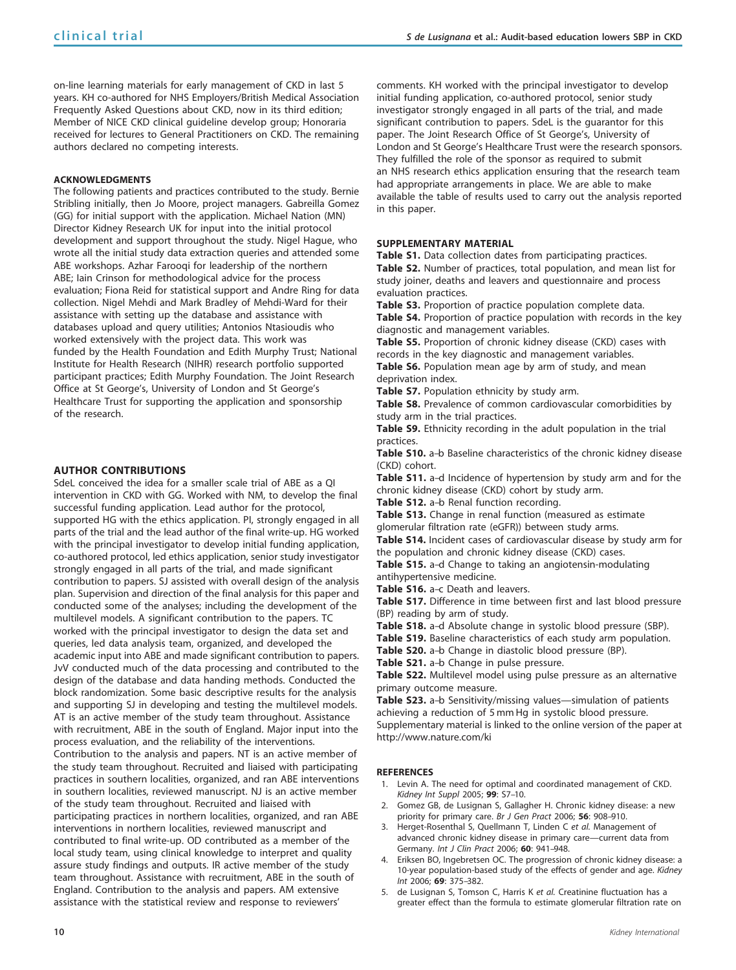<span id="page-9-0"></span>on-line learning materials for early management of CKD in last 5 years. KH co-authored for NHS Employers/British Medical Association Frequently Asked Questions about CKD, now in its third edition; Member of NICE CKD clinical guideline develop group; Honoraria received for lectures to General Practitioners on CKD. The remaining authors declared no competing interests.

#### ACKNOWLEDGMENTS

The following patients and practices contributed to the study. Bernie Stribling initially, then Jo Moore, project managers. Gabreilla Gomez (GG) for initial support with the application. Michael Nation (MN) Director Kidney Research UK for input into the initial protocol development and support throughout the study. Nigel Hague, who wrote all the initial study data extraction queries and attended some ABE workshops. Azhar Farooqi for leadership of the northern ABE; Iain Crinson for methodological advice for the process evaluation; Fiona Reid for statistical support and Andre Ring for data collection. Nigel Mehdi and Mark Bradley of Mehdi-Ward for their assistance with setting up the database and assistance with databases upload and query utilities; Antonios Ntasioudis who worked extensively with the project data. This work was funded by the Health Foundation and Edith Murphy Trust; National Institute for Health Research (NIHR) research portfolio supported participant practices; Edith Murphy Foundation. The Joint Research Office at St George's, University of London and St George's Healthcare Trust for supporting the application and sponsorship of the research.

#### AUTHOR CONTRIBUTIONS

SdeL conceived the idea for a smaller scale trial of ABE as a QI intervention in CKD with GG. Worked with NM, to develop the final successful funding application. Lead author for the protocol, supported HG with the ethics application. PI, strongly engaged in all parts of the trial and the lead author of the final write-up. HG worked with the principal investigator to develop initial funding application, co-authored protocol, led ethics application, senior study investigator strongly engaged in all parts of the trial, and made significant contribution to papers. SJ assisted with overall design of the analysis plan. Supervision and direction of the final analysis for this paper and conducted some of the analyses; including the development of the multilevel models. A significant contribution to the papers. TC worked with the principal investigator to design the data set and queries, led data analysis team, organized, and developed the academic input into ABE and made significant contribution to papers. JvV conducted much of the data processing and contributed to the design of the database and data handing methods. Conducted the block randomization. Some basic descriptive results for the analysis and supporting SJ in developing and testing the multilevel models. AT is an active member of the study team throughout. Assistance with recruitment, ABE in the south of England. Major input into the process evaluation, and the reliability of the interventions.

Contribution to the analysis and papers. NT is an active member of the study team throughout. Recruited and liaised with participating practices in southern localities, organized, and ran ABE interventions in southern localities, reviewed manuscript. NJ is an active member of the study team throughout. Recruited and liaised with participating practices in northern localities, organized, and ran ABE

interventions in northern localities, reviewed manuscript and contributed to final write-up. OD contributed as a member of the local study team, using clinical knowledge to interpret and quality assure study findings and outputs. IR active member of the study team throughout. Assistance with recruitment, ABE in the south of England. Contribution to the analysis and papers. AM extensive assistance with the statistical review and response to reviewers'

comments. KH worked with the principal investigator to develop initial funding application, co-authored protocol, senior study investigator strongly engaged in all parts of the trial, and made significant contribution to papers. SdeL is the guarantor for this paper. The Joint Research Office of St George's, University of London and St George's Healthcare Trust were the research sponsors. They fulfilled the role of the sponsor as required to submit an NHS research ethics application ensuring that the research team had appropriate arrangements in place. We are able to make available the table of results used to carry out the analysis reported in this paper.

# SUPPLEMENTARY MATERIAL

Table S1. Data collection dates from participating practices. Table S2. Number of practices, total population, and mean list for study joiner, deaths and leavers and questionnaire and process evaluation practices.

Table S3. Proportion of practice population complete data. Table S4. Proportion of practice population with records in the key diagnostic and management variables.

Table S5. Proportion of chronic kidney disease (CKD) cases with records in the key diagnostic and management variables.

Table S6. Population mean age by arm of study, and mean deprivation index.

Table S7. Population ethnicity by study arm.

Table S8. Prevalence of common cardiovascular comorbidities by study arm in the trial practices.

Table S9. Ethnicity recording in the adult population in the trial practices.

Table S10. a-b Baseline characteristics of the chronic kidney disease (CKD) cohort.

Table S11. a-d Incidence of hypertension by study arm and for the chronic kidney disease (CKD) cohort by study arm.

Table S12. a-b Renal function recording.

Table S13. Change in renal function (measured as estimate glomerular filtration rate (eGFR)) between study arms.

Table S14. Incident cases of cardiovascular disease by study arm for the population and chronic kidney disease (CKD) cases.

Table S15. a–d Change to taking an angiotensin-modulating antihypertensive medicine.

Table S16. a–c Death and leavers.

Table S17. Difference in time between first and last blood pressure (BP) reading by arm of study.

Table S18. a–d Absolute change in systolic blood pressure (SBP).

Table S19. Baseline characteristics of each study arm population.

Table S20. a–b Change in diastolic blood pressure (BP).

Table S21. a–b Change in pulse pressure.

Table S22. Multilevel model using pulse pressure as an alternative primary outcome measure.

Table S23. a-b Sensitivity/missing values-simulation of patients achieving a reduction of 5 mm Hg in systolic blood pressure. Supplementary material is linked to the online version of the paper at <http://www.nature.com/ki>

#### **REFERENCES**

- 1. Levin A. The need for optimal and coordinated management of CKD. Kidney Int Suppl 2005; 99: S7-10.
- 2. Gomez GB, de Lusignan S, Gallagher H. Chronic kidney disease: a new priority for primary care. Br J Gen Pract 2006; 56: 908-910.
- Herget-Rosenthal S, Quellmann T, Linden C et al. Management of advanced chronic kidney disease in primary care—current data from Germany. Int J Clin Pract 2006; 60: 941-948.
- 4. Eriksen BO, Ingebretsen OC. The progression of chronic kidney disease: a 10-year population-based study of the effects of gender and age. Kidney Int 2006; 69: 375–382.
- de Lusignan S, Tomson C, Harris K et al. Creatinine fluctuation has a greater effect than the formula to estimate glomerular filtration rate on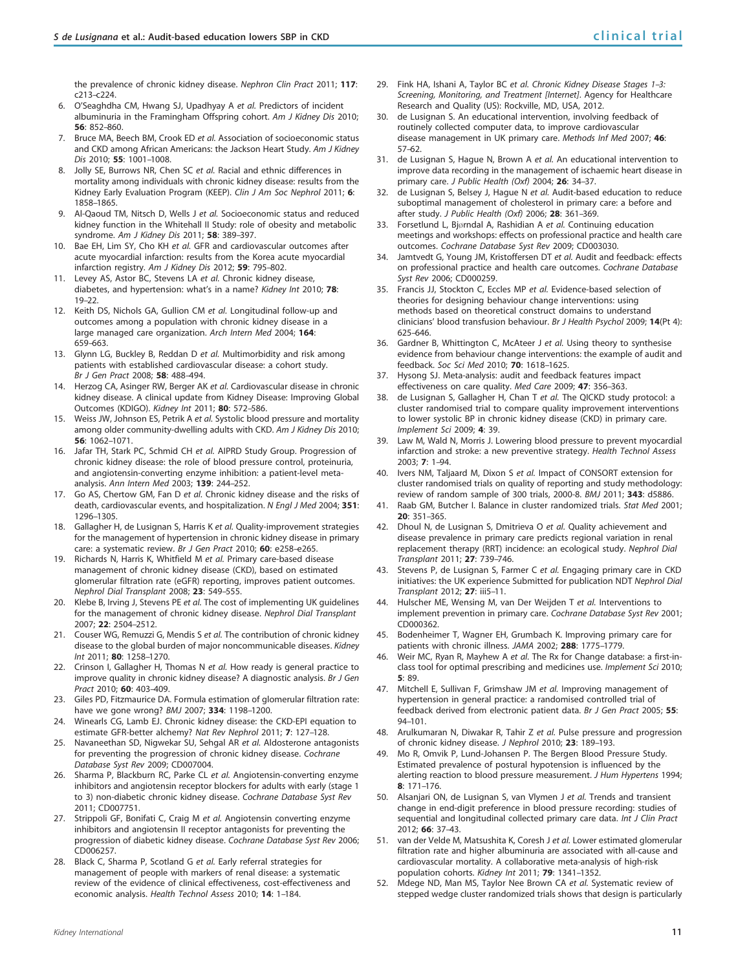<span id="page-10-0"></span>the prevalence of chronic kidney disease. Nephron Clin Pract 2011; 117: c213–c224.

- 6. O'Seaghdha CM, Hwang SJ, Upadhyay A et al. Predictors of incident albuminuria in the Framingham Offspring cohort. Am J Kidney Dis 2010; 56: 852–860.
- 7. Bruce MA, Beech BM, Crook ED et al. Association of socioeconomic status and CKD among African Americans: the Jackson Heart Study. Am J Kidney Dis 2010; 55: 1001–1008.
- 8. Jolly SE, Burrows NR, Chen SC et al. Racial and ethnic differences in mortality among individuals with chronic kidney disease: results from the Kidney Early Evaluation Program (KEEP). Clin J Am Soc Nephrol 2011; 6: 1858–1865.
- Al-Qaoud TM, Nitsch D, Wells J et al. Socioeconomic status and reduced kidney function in the Whitehall II Study: role of obesity and metabolic syndrome. Am J Kidney Dis 2011; 58: 389-397.
- 10. Bae EH, Lim SY, Cho KH et al. GFR and cardiovascular outcomes after acute myocardial infarction: results from the Korea acute myocardial infarction registry. Am J Kidney Dis 2012; 59: 795–802.
- 11. Levey AS, Astor BC, Stevens LA et al. Chronic kidney disease, diabetes, and hypertension: what's in a name? Kidney Int 2010; 78: 19–22.
- 12. Keith DS, Nichols GA, Gullion CM et al. Longitudinal follow-up and outcomes among a population with chronic kidney disease in a large managed care organization. Arch Intern Med 2004; 164: 659–663.
- 13. Glynn LG, Buckley B, Reddan D et al. Multimorbidity and risk among patients with established cardiovascular disease: a cohort study. Br J Gen Pract 2008; 58: 488–494.
- 14. Herzog CA, Asinger RW, Berger AK et al. Cardiovascular disease in chronic kidney disease. A clinical update from Kidney Disease: Improving Global Outcomes (KDIGO). Kidney Int 2011; 80: 572–586.
- 15. Weiss JW, Johnson ES, Petrik A et al. Systolic blood pressure and mortality among older community-dwelling adults with CKD. Am J Kidney Dis 2010; 56: 1062–1071.
- 16. Jafar TH, Stark PC, Schmid CH et al. AIPRD Study Group. Progression of chronic kidney disease: the role of blood pressure control, proteinuria, and angiotensin-converting enzyme inhibition: a patient-level metaanalysis. Ann Intern Med 2003; 139: 244–252.
- 17. Go AS, Chertow GM, Fan D et al. Chronic kidney disease and the risks of death, cardiovascular events, and hospitalization. N Engl J Med 2004; 351: 1296–1305.
- 18. Gallagher H, de Lusignan S, Harris K et al. Quality-improvement strategies for the management of hypertension in chronic kidney disease in primary care: a systematic review. Br J Gen Pract 2010; 60: e258-e265.
- 19. Richards N, Harris K, Whitfield M et al. Primary care-based disease management of chronic kidney disease (CKD), based on estimated glomerular filtration rate (eGFR) reporting, improves patient outcomes. Nephrol Dial Transplant 2008; 23: 549–555.
- 20. Klebe B, Irving J, Stevens PE et al. The cost of implementing UK guidelines for the management of chronic kidney disease. Nephrol Dial Transplant 2007; 22: 2504–2512.
- 21. Couser WG, Remuzzi G, Mendis S et al. The contribution of chronic kidney disease to the global burden of major noncommunicable diseases. Kidney Int 2011; 80: 1258–1270.
- 22. Crinson I, Gallagher H, Thomas N et al. How ready is general practice to improve quality in chronic kidney disease? A diagnostic analysis. Br J Gen Pract 2010; 60: 403–409.
- 23. Giles PD, Fitzmaurice DA. Formula estimation of glomerular filtration rate: have we gone wrong? BMJ 2007; 334: 1198-1200.
- 24. Winearls CG, Lamb EJ. Chronic kidney disease: the CKD-EPI equation to estimate GFR-better alchemy? Nat Rev Nephrol 2011; 7: 127–128.
- 25. Navaneethan SD, Nigwekar SU, Sehgal AR et al. Aldosterone antagonists for preventing the progression of chronic kidney disease. Cochrane Database Syst Rev 2009; CD007004.
- 26. Sharma P, Blackburn RC, Parke CL et al. Angiotensin-converting enzyme inhibitors and angiotensin receptor blockers for adults with early (stage 1 to 3) non-diabetic chronic kidney disease. Cochrane Database Syst Rev 2011; CD007751.
- 27. Strippoli GF, Bonifati C, Craig M et al. Angiotensin converting enzyme inhibitors and angiotensin II receptor antagonists for preventing the progression of diabetic kidney disease. Cochrane Database Syst Rev 2006; CD006257.
- 28. Black C, Sharma P, Scotland G et al. Early referral strategies for management of people with markers of renal disease: a systematic review of the evidence of clinical effectiveness, cost-effectiveness and economic analysis. Health Technol Assess 2010; 14: 1–184.
- 29. Fink HA, Ishani A, Taylor BC et al. Chronic Kidney Disease Stages 1–3: Screening, Monitoring, and Treatment [Internet]. Agency for Healthcare Research and Quality (US): Rockville, MD, USA, 2012.
- 30. de Lusignan S. An educational intervention, involving feedback of routinely collected computer data, to improve cardiovascular disease management in UK primary care. Methods Inf Med 2007; 46: 57–62.
- 31. de Lusignan S, Hague N, Brown A et al. An educational intervention to improve data recording in the management of ischaemic heart disease in primary care. J Public Health (Oxf) 2004; 26: 34-37.
- 32. de Lusignan S, Belsey J, Hague N et al. Audit-based education to reduce suboptimal management of cholesterol in primary care: a before and after study. J Public Health (Oxf) 2006; 28: 361-369.
- 33. Forsetlund L, Bjørndal A, Rashidian A et al. Continuing education meetings and workshops: effects on professional practice and health care outcomes. Cochrane Database Syst Rev 2009; CD003030.
- 34. Jamtvedt G, Young JM, Kristoffersen DT et al. Audit and feedback: effects on professional practice and health care outcomes. Cochrane Database Syst Rev 2006; CD000259.
- 35. Francis JJ, Stockton C, Eccles MP et al. Evidence-based selection of theories for designing behaviour change interventions: using methods based on theoretical construct domains to understand clinicians' blood transfusion behaviour. Br J Health Psychol 2009; 14(Pt 4): 625–646.
- 36. Gardner B, Whittington C, McAteer J et al. Using theory to synthesise evidence from behaviour change interventions: the example of audit and feedback. Soc Sci Med 2010; 70: 1618-1625.
- 37. Hysong SJ. Meta-analysis: audit and feedback features impact effectiveness on care quality. Med Care 2009; 47: 356-363.
- de Lusignan S, Gallagher H, Chan T et al. The QICKD study protocol: a cluster randomised trial to compare quality improvement interventions to lower systolic BP in chronic kidney disease (CKD) in primary care. Implement Sci 2009; 4: 39.
- 39. Law M, Wald N, Morris J. Lowering blood pressure to prevent myocardial infarction and stroke: a new preventive strategy. Health Technol Assess 2003; 7: 1–94.
- 40. Ivers NM, Taljaard M, Dixon S et al. Impact of CONSORT extension for cluster randomised trials on quality of reporting and study methodology: review of random sample of 300 trials, 2000-8. BMJ 2011; 343: d5886.
- 41. Raab GM, Butcher I. Balance in cluster randomized trials. Stat Med 2001; 20: 351–365.
- 42. Dhoul N, de Lusignan S, Dmitrieva O et al. Quality achievement and disease prevalence in primary care predicts regional variation in renal replacement therapy (RRT) incidence: an ecological study. Nephrol Dial Transplant 2011; 27: 739–746.
- 43. Stevens P, de Lusignan S, Farmer C et al. Engaging primary care in CKD initiatives: the UK experience Submitted for publication NDT Nephrol Dial Transplant 2012; 27: iii5–11.
- 44. Hulscher ME, Wensing M, van Der Weijden T et al. Interventions to implement prevention in primary care. Cochrane Database Syst Rev 2001; CD000362.
- 45. Bodenheimer T, Wagner EH, Grumbach K. Improving primary care for patients with chronic illness. JAMA 2002; 288: 1775-1779.
- 46. Weir MC, Ryan R, Mayhew A et al. The Rx for Change database: a first-inclass tool for optimal prescribing and medicines use. Implement Sci 2010; 5: 89.
- 47. Mitchell E, Sullivan F, Grimshaw JM et al. Improving management of hypertension in general practice: a randomised controlled trial of feedback derived from electronic patient data. Br J Gen Pract 2005; 55: 94–101.
- 48. Arulkumaran N, Diwakar R, Tahir Z et al. Pulse pressure and progression of chronic kidney disease. J Nephrol 2010; 23: 189-193.
- 49. Mo R, Omvik P, Lund-Johansen P. The Bergen Blood Pressure Study. Estimated prevalence of postural hypotension is influenced by the alerting reaction to blood pressure measurement. J Hum Hypertens 1994; 8: 171–176.
- 50. Alsanjari ON, de Lusignan S, van Vlymen J et al. Trends and transient change in end-digit preference in blood pressure recording: studies of sequential and longitudinal collected primary care data. Int J Clin Pract 2012; 66: 37–43.
- 51. van der Velde M, Matsushita K, Coresh J et al. Lower estimated glomerular filtration rate and higher albuminuria are associated with all-cause and cardiovascular mortality. A collaborative meta-analysis of high-risk population cohorts. Kidney Int 2011; 79: 1341-1352.
- 52. Mdege ND, Man MS, Taylor Nee Brown CA et al. Systematic review of stepped wedge cluster randomized trials shows that design is particularly